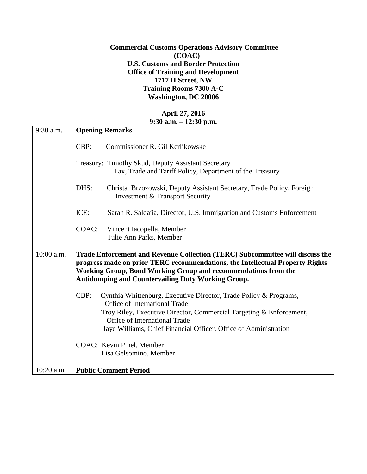## **Commercial Customs Operations Advisory Committee (COAC) U.S. Customs and Border Protection Office of Training and Development 1717 H Street, NW Training Rooms 7300 A-C Washington, DC 20006**

## **April 27, 2016 9:30 a.m. – 12:30 p.m.**

| 9:30 a.m.    | <b>Opening Remarks</b>                                                                                                                                                                                                                                                                        |
|--------------|-----------------------------------------------------------------------------------------------------------------------------------------------------------------------------------------------------------------------------------------------------------------------------------------------|
|              | CBP:<br>Commissioner R. Gil Kerlikowske                                                                                                                                                                                                                                                       |
|              | Treasury: Timothy Skud, Deputy Assistant Secretary<br>Tax, Trade and Tariff Policy, Department of the Treasury                                                                                                                                                                                |
|              | DHS:<br>Christa Brzozowski, Deputy Assistant Secretary, Trade Policy, Foreign<br>Investment & Transport Security                                                                                                                                                                              |
|              | ICE:<br>Sarah R. Saldaña, Director, U.S. Immigration and Customs Enforcement                                                                                                                                                                                                                  |
|              | COAC:<br>Vincent Iacopella, Member<br>Julie Ann Parks, Member                                                                                                                                                                                                                                 |
| $10:00$ a.m. | Trade Enforcement and Revenue Collection (TERC) Subcommittee will discuss the<br>progress made on prior TERC recommendations, the Intellectual Property Rights<br>Working Group, Bond Working Group and recommendations from the<br><b>Antidumping and Countervailing Duty Working Group.</b> |
|              | CBP:<br>Cynthia Whittenburg, Executive Director, Trade Policy & Programs,<br>Office of International Trade<br>Troy Riley, Executive Director, Commercial Targeting & Enforcement,<br>Office of International Trade<br>Jaye Williams, Chief Financial Officer, Office of Administration        |
|              | COAC: Kevin Pinel, Member<br>Lisa Gelsomino, Member                                                                                                                                                                                                                                           |
| 10:20 a.m.   | <b>Public Comment Period</b>                                                                                                                                                                                                                                                                  |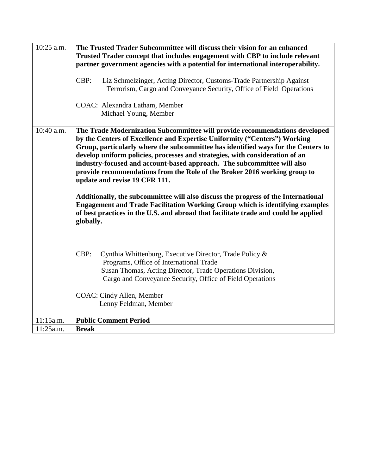| 10:25 a.m. | The Trusted Trader Subcommittee will discuss their vision for an enhanced<br>Trusted Trader concept that includes engagement with CBP to include relevant<br>partner government agencies with a potential for international interoperability.                                                                                                                                                                                                                                                                                                                                                                |
|------------|--------------------------------------------------------------------------------------------------------------------------------------------------------------------------------------------------------------------------------------------------------------------------------------------------------------------------------------------------------------------------------------------------------------------------------------------------------------------------------------------------------------------------------------------------------------------------------------------------------------|
|            | CBP:<br>Liz Schmelzinger, Acting Director, Customs-Trade Partnership Against<br>Terrorism, Cargo and Conveyance Security, Office of Field Operations                                                                                                                                                                                                                                                                                                                                                                                                                                                         |
|            | COAC: Alexandra Latham, Member<br>Michael Young, Member                                                                                                                                                                                                                                                                                                                                                                                                                                                                                                                                                      |
| 10:40 a.m. | The Trade Modernization Subcommittee will provide recommendations developed<br>by the Centers of Excellence and Expertise Uniformity ("Centers") Working<br>Group, particularly where the subcommittee has identified ways for the Centers to<br>develop uniform policies, processes and strategies, with consideration of an<br>industry-focused and account-based approach. The subcommittee will also<br>provide recommendations from the Role of the Broker 2016 working group to<br>update and revise 19 CFR 111.<br>Additionally, the subcommittee will also discuss the progress of the International |
|            | <b>Engagement and Trade Facilitation Working Group which is identifying examples</b><br>of best practices in the U.S. and abroad that facilitate trade and could be applied<br>globally.                                                                                                                                                                                                                                                                                                                                                                                                                     |
|            | CBP:<br>Cynthia Whittenburg, Executive Director, Trade Policy &<br>Programs, Office of International Trade<br>Susan Thomas, Acting Director, Trade Operations Division,<br>Cargo and Conveyance Security, Office of Field Operations                                                                                                                                                                                                                                                                                                                                                                         |
|            | COAC: Cindy Allen, Member<br>Lenny Feldman, Member                                                                                                                                                                                                                                                                                                                                                                                                                                                                                                                                                           |
| 11:15a.m.  | <b>Public Comment Period</b>                                                                                                                                                                                                                                                                                                                                                                                                                                                                                                                                                                                 |
| 11:25a.m.  | <b>Break</b>                                                                                                                                                                                                                                                                                                                                                                                                                                                                                                                                                                                                 |